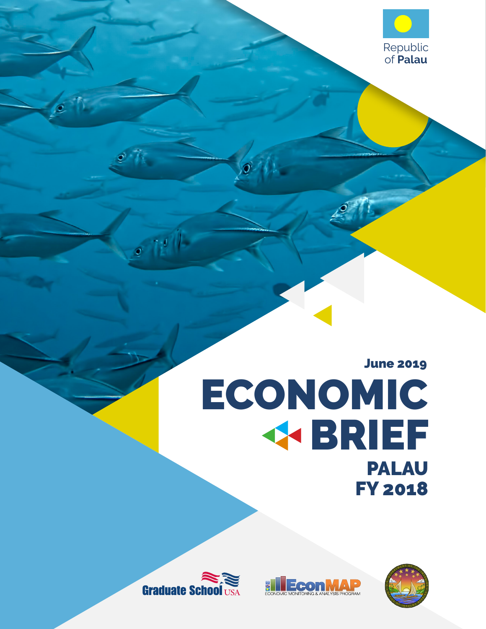

# June 2019 ECONOMIC **KBRIEF** PALAU FY 2018

**EconM** 



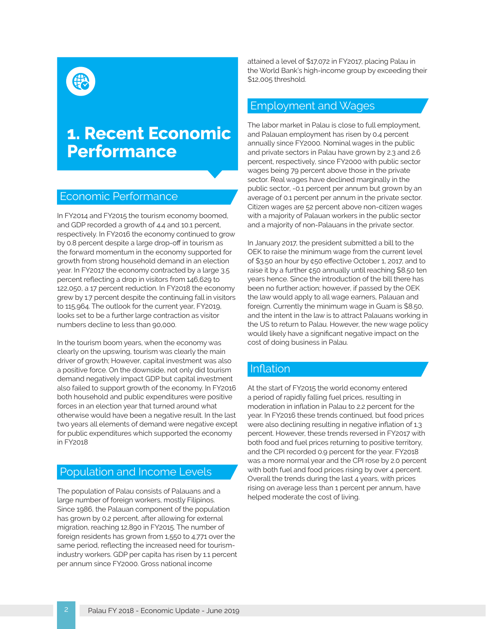### **1. Recent Economic Performance**

#### Economic Performance

In FY2014 and FY2015 the tourism economy boomed, and GDP recorded a growth of 4.4 and 10.1 percent, respectively. In FY2016 the economy continued to grow by 0.8 percent despite a large drop-off in tourism as the forward momentum in the economy supported for growth from strong household demand in an election year. In FY2017 the economy contracted by a large 3.5 percent reflecting a drop in visitors from 146,629 to 122,050, a 17 percent reduction. In FY2018 the economy grew by 1.7 percent despite the continuing fall in visitors to 115,964. The outlook for the current year, FY2019, looks set to be a further large contraction as visitor numbers decline to less than 90,000.

 In the tourism boom years, when the economy was clearly on the upswing, tourism was clearly the main driver of growth; However, capital investment was also a positive force. On the downside, not only did tourism demand negatively impact GDP but capital investment also failed to support growth of the economy. In FY2016 both household and public expenditures were positive forces in an election year that turned around what otherwise would have been a negative result. In the last two years all elements of demand were negative except for public expenditures which supported the economy in FY2018

#### Population and Income Levels

The population of Palau consists of Palauans and a large number of foreign workers, mostly Filipinos. Since 1986, the Palauan component of the population has grown by 0.2 percent, after allowing for external migration, reaching 12,890 in FY2015. The number of foreign residents has grown from 1,550 to 4,771 over the same period, reflecting the increased need for tourismindustry workers. GDP per capita has risen by 1.1 percent per annum since FY2000. Gross national income

attained a level of \$17,072 in FY2017, placing Palau in the World Bank's high-income group by exceeding their \$12,005 threshold.

### Employment and Wages

The labor market in Palau is close to full employment, and Palauan employment has risen by 0.4 percent annually since FY2000. Nominal wages in the public and private sectors in Palau have grown by 2.3 and 2.6 percent, respectively, since FY2000 with public sector wages being 79 percent above those in the private sector. Real wages have declined marginally in the public sector, -0.1 percent per annum but grown by an average of 0.1 percent per annum in the private sector. Citizen wages are 52 percent above non-citizen wages with a majority of Palauan workers in the public sector and a majority of non-Palauans in the private sector.

In January 2017, the president submitted a bill to the OEK to raise the minimum wage from the current level of \$3.50 an hour by ¢50 effective October 1, 2017, and to raise it by a further ¢50 annually until reaching \$8.50 ten years hence. Since the introduction of the bill there has been no further action; however, if passed by the OEK the law would apply to all wage earners, Palauan and foreign. Currently the minimum wage in Guam is \$8.50, and the intent in the law is to attract Palauans working in the US to return to Palau. However, the new wage policy would likely have a significant negative impact on the cost of doing business in Palau.

#### Inflation

At the start of FY2015 the world economy entered a period of rapidly falling fuel prices, resulting in moderation in inflation in Palau to 2.2 percent for the year. In FY2016 these trends continued, but food prices were also declining resulting in negative inflation of 1.3 percent. However, these trends reversed in FY2017 with both food and fuel prices returning to positive territory, and the CPI recorded 0.9 percent for the year. FY2018 was a more normal year and the CPI rose by 2.0 percent with both fuel and food prices rising by over 4 percent. Overall the trends during the last 4 years, with prices rising on average less than 1 percent per annum, have helped moderate the cost of living.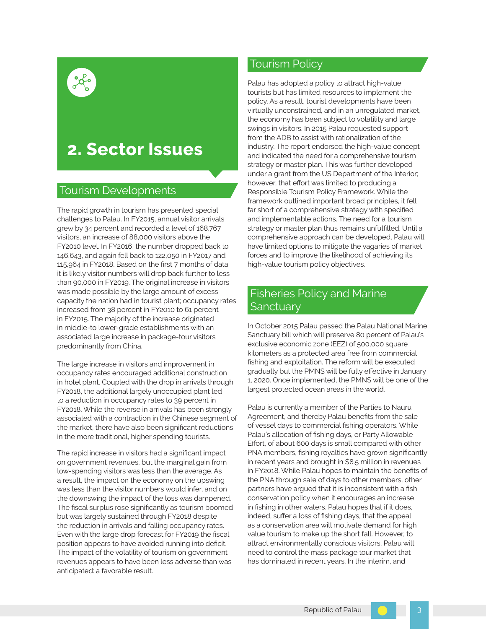### **2. Sector Issues**

#### Tourism Developments

 associated large increase in package-tour visitors The rapid growth in tourism has presented special challenges to Palau. In FY2015, annual visitor arrivals grew by 34 percent and recorded a level of 168,767 visitors, an increase of 88,000 visitors above the FY2010 level. In FY2016, the number dropped back to 146,643, and again fell back to 122,050 in FY2017 and 115,964 in FY2018. Based on the first 7 months of data it is likely visitor numbers will drop back further to less than 90,000 in FY2019. The original increase in visitors was made possible by the large amount of excess capacity the nation had in tourist plant; occupancy rates increased from 38 percent in FY2010 to 61 percent in FY2015. The majority of the increase originated in middle-to lower-grade establishments with an predominantly from China.

The large increase in visitors and improvement in occupancy rates encouraged additional construction in hotel plant. Coupled with the drop in arrivals through FY2018, the additional largely unoccupied plant led to a reduction in occupancy rates to 39 percent in FY2018. While the reverse in arrivals has been strongly associated with a contraction in the Chinese segment of the market, there have also been significant reductions in the more traditional, higher spending tourists.

The rapid increase in visitors had a significant impact on government revenues, but the marginal gain from low-spending visitors was less than the average. As a result, the impact on the economy on the upswing was less than the visitor numbers would infer, and on the downswing the impact of the loss was dampened. The fiscal surplus rose significantly as tourism boomed but was largely sustained through FY2018 despite the reduction in arrivals and falling occupancy rates. Even with the large drop forecast for FY2019 the fiscal position appears to have avoided running into deficit. The impact of the volatility of tourism on government revenues appears to have been less adverse than was anticipated: a favorable result.

### Tourism Policy

Palau has adopted a policy to attract high-value tourists but has limited resources to implement the policy. As a result, tourist developments have been virtually unconstrained, and in an unregulated market, the economy has been subject to volatility and large swings in visitors. In 2015 Palau requested support from the ADB to assist with rationalization of the industry. The report endorsed the high-value concept and indicated the need for a comprehensive tourism strategy or master plan. This was further developed under a grant from the US Department of the Interior; however, that effort was limited to producing a Responsible Tourism Policy Framework. While the framework outlined important broad principles, it fell far short of a comprehensive strategy with specified and implementable actions. The need for a tourism strategy or master plan thus remains unfulfilled. Until a comprehensive approach can be developed, Palau will have limited options to mitigate the vagaries of market forces and to improve the likelihood of achieving its high-value tourism policy objectives.

### Fisheries Policy and Marine **Sanctuarv**

In October 2015 Palau passed the Palau National Marine Sanctuary bill which will preserve 80 percent of Palau's exclusive economic zone (EEZ) of 500,000 square kilometers as a protected area free from commercial fishing and exploitation. The reform will be executed gradually but the PMNS will be fully effective in January 1, 2020. Once implemented, the PMNS will be one of the largest protected ocean areas in the world.

 Palau's allocation of fishing days, or Party Allowable Palau is currently a member of the Parties to Nauru Agreement, and thereby Palau benefits from the sale of vessel days to commercial fishing operators. While Effort, of about 600 days is small compared with other PNA members, fishing royalties have grown significantly in recent years and brought in \$8.5 million in revenues in FY2018. While Palau hopes to maintain the benefits of the PNA through sale of days to other members, other partners have argued that it is inconsistent with a fish conservation policy when it encourages an increase in fishing in other waters. Palau hopes that if it does, indeed, suffer a loss of fishing days, that the appeal as a conservation area will motivate demand for high value tourism to make up the short fall. However, to attract environmentally conscious visitors, Palau will need to control the mass package tour market that has dominated in recent years. In the interim, and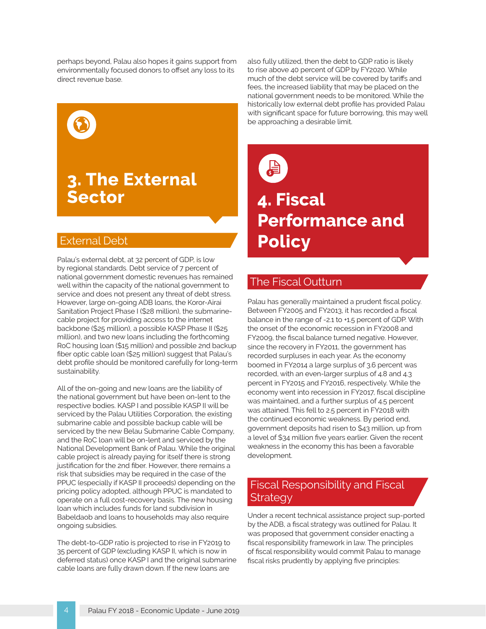perhaps beyond, Palau also hopes it gains support from environmentally focused donors to offset any loss to its direct revenue base.



### **3. The External Sector**

#### External Debt

Palau's external debt, at 32 percent of GDP, is low by regional standards. Debt service of 7 percent of national government domestic revenues has remained well within the capacity of the national government to service and does not present any threat of debt stress. However, large on-going ADB loans, the Koror-Airai Sanitation Project Phase I (\$28 million), the submarinecable project for providing access to the internet backbone (\$25 million), a possible KASP Phase II (\$25 million), and two new loans including the forthcoming RoC housing loan (\$15 million) and possible 2nd backup fiber optic cable loan (\$25 million) suggest that Palau's debt profile should be monitored carefully for long-term sustainability.

All of the on-going and new loans are the liability of the national government but have been on-lent to the respective bodies. KASP I and possible KASP II will be serviced by the Palau Utilities Corporation, the existing submarine cable and possible backup cable will be serviced by the new Belau Submarine Cable Company, and the RoC loan will be on-lent and serviced by the National Development Bank of Palau. While the original cable project is already paying for itself there is strong justification for the 2nd fiber. However, there remains a risk that subsidies may be required in the case of the PPUC (especially if KASP II proceeds) depending on the pricing policy adopted, although PPUC is mandated to operate on a full cost-recovery basis. The new housing loan which includes funds for land subdivision in Babeldaob and loans to households may also require ongoing subsidies.

The debt-to-GDP ratio is projected to rise in FY2019 to 35 percent of GDP (excluding KASP II, which is now in deferred status) once KASP I and the original submarine cable loans are fully drawn down. If the new loans are

 with significant space for future borrowing, this may well also fully utilized, then the debt to GDP ratio is likely to rise above 40 percent of GDP by FY2020. While much of the debt service will be covered by tariffs and fees, the increased liability that may be placed on the national government needs to be monitored. While the historically low external debt profile has provided Palau be approaching a desirable limit.



# **4. Fiscal Performance and Policy**

### The Fiscal Outturn

Palau has generally maintained a prudent fiscal policy. Between FY2005 and FY2013, it has recorded a fiscal balance in the range of -2.1 to +1.5 percent of GDP. With the onset of the economic recession in FY2008 and FY2009, the fiscal balance turned negative. However, since the recovery in FY2011, the government has recorded surpluses in each year. As the economy boomed in FY2014 a large surplus of 3.6 percent was recorded, with an even-larger surplus of 4.8 and 4.3 percent in FY2015 and FY2016, respectively. While the economy went into recession in FY2017, fiscal discipline was maintained, and a further surplus of 4.5 percent was attained. This fell to 2.5 percent in FY2018 with the continued economic weakness. By period end, government deposits had risen to \$43 million, up from a level of \$34 million five years earlier. Given the recent weakness in the economy this has been a favorable development.

### Fiscal Responsibility and Fiscal **Strategy**

Under a recent technical assistance project sup-ported by the ADB, a fiscal strategy was outlined for Palau. It was proposed that government consider enacting a fiscal responsibility framework in law. The principles of fiscal responsibility would commit Palau to manage fiscal risks prudently by applying five principles: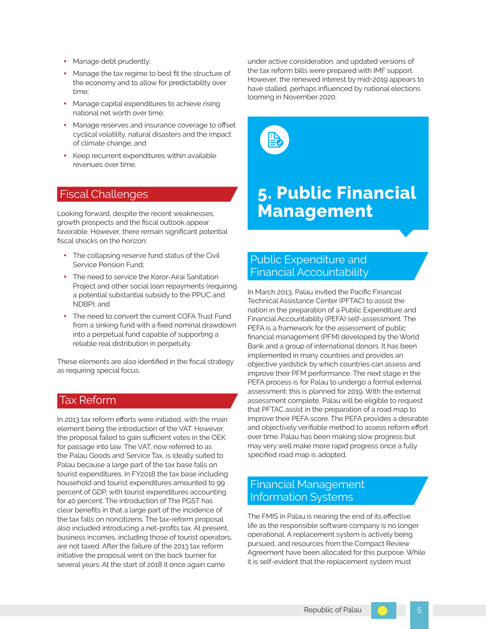- Manage debt prudently;
- Manage the tax regime to best fit the structure of the economy and to allow for predictability over time;
- Manage capital expenditures to achieve rising national net worth over time;
- Manage reserves and insurance coverage to offset cyclical volatility, natural disasters and the impact of climate change; and
- Keep recurrent expenditures within available revenues over time.

### Fiscal Challenges

Looking forward, despite the recent weaknesses, growth prospects and the fiscal outlook appear favorable. However, there remain significant potential fiscal shocks on the horizon:

- The collapsing reserve fund status of the Civil Service Pension Fund;
- The need to service the Koror-Airai Sanitation Project and other social loan repayments (requiring a potential substantial subsidy to the PPUC and NDBP); and
- The need to convert the current COFA Trust Fund from a sinking fund with a fixed nominal drawdown into a perpetual fund capable of supporting a reliable real distribution in perpetuity.

These elements are also identified in the fiscal strategy as requiring special focus.

#### Tax Reform

In 2013 tax reform efforts were initiated, with the main element being the introduction of the VAT. However, the proposal failed to gain sufficient votes in the OEK for passage into law. The VAT, now referred to as the Palau Goods and Service Tax, is ideally suited to Palau because a large part of the tax base falls on tourist expenditures. In FY2018 the tax base including household and tourist expenditures amounted to 99 percent of GDP, with tourist expenditures accounting for 40 percent. The introduction of The PGST has clear benefits in that a large part of the incidence of the tax falls on noncitizens. The tax-reform proposal also included introducing a net-profits tax. At present, business incomes, including those of tourist operators, are not taxed. After the failure of the 2013 tax reform initiative the proposal went on the back burner for several years. At the start of 2018 it once again came

under active consideration, and updated versions of the tax reform bills were prepared with IMF support. However, the renewed interest by mid-2019 appears to have stalled, perhaps influenced by national elections looming in November 2020.



### **5. Public Financial Management**

### Public Expenditure and Financial Accountability

 improve their PEFA score. The PEFA provides a desirable may very well make more rapid progress once a fully In March 2013, Palau invited the Pacific Financial Technical Assistance Center (PFTAC) to assist the nation in the preparation of a Public Expenditure and Financial Accountability (PEFA) self-assessment. The PEFA is a framework for the assessment of public financial management (PFM) developed by the World Bank and a group of international donors. It has been implemented in many countries and provides an objective yardstick by which countries can assess and improve their PFM performance. The next stage in the PEFA process is for Palau to undergo a formal external assessment: this is planned for 2019. With the external assessment complete, Palau will be eligible to request that PFTAC assist in the preparation of a road map to and objectively verifiable method to assess reform effort over time. Palau has been making slow progress but specified road map is adopted.

### Financial Management Information Systems

The FMIS in Palau is nearing the end of its effective life as the responsible software company is no longer operational. A replacement system is actively being pursued, and resources from the Compact Review Agreement have been allocated for this purpose. While it is self-evident that the replacement system must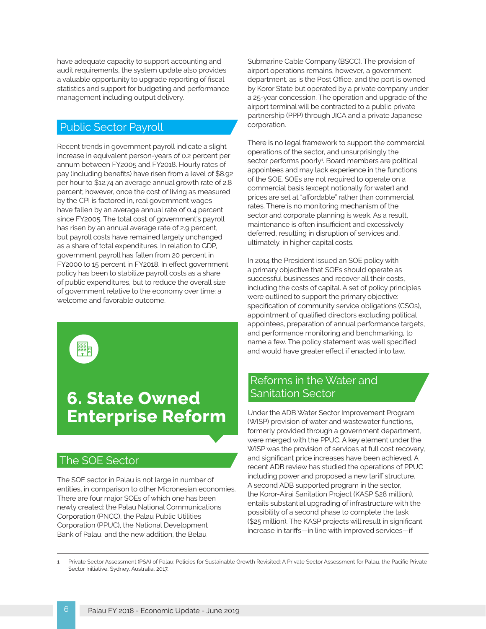have adequate capacity to support accounting and audit requirements, the system update also provides a valuable opportunity to upgrade reporting of fiscal statistics and support for budgeting and performance management including output delivery.

### Public Sector Payroll

Recent trends in government payroll indicate a slight increase in equivalent person-years of 0.2 percent per annum between FY2005 and FY2018. Hourly rates of pay (including benefits) have risen from a level of \$8.92 per hour to \$12.74 an average annual growth rate of 2.8 percent; however, once the cost of living as measured by the CPI is factored in, real government wages have fallen by an average annual rate of 0.4 percent since FY2005. The total cost of government's payroll has risen by an annual average rate of 2.9 percent, but payroll costs have remained largely unchanged as a share of total expenditures. In relation to GDP, government payroll has fallen from 20 percent in FY2000 to 15 percent in FY2018. In effect government policy has been to stabilize payroll costs as a share of public expenditures, but to reduce the overall size of government relative to the economy over time: a welcome and favorable outcome.



### **6. State Owned Enterprise Reform**

### The SOE Sector

The SOE sector in Palau is not large in number of entities, in comparison to other Micronesian economies. There are four major SOEs of which one has been newly created: the Palau National Communications Corporation (PNCC), the Palau Public Utilities Corporation (PPUC), the National Development Bank of Palau, and the new addition, the Belau

Submarine Cable Company (BSCC). The provision of airport operations remains, however, a government department, as is the Post Office, and the port is owned by Koror State but operated by a private company under a 25-year concession. The operation and upgrade of the airport terminal will be contracted to a public private partnership (PPP) through JICA and a private Japanese corporation.

 commercial basis (except notionally for water) and There is no legal framework to support the commercial operations of the sector, and unsurprisingly the sector performs poorly<sup>1</sup>. Board members are political appointees and may lack experience in the functions of the SOE. SOEs are not required to operate on a prices are set at "affordable" rather than commercial rates. There is no monitoring mechanism of the sector and corporate planning is weak. As a result, maintenance is often insufficient and excessively deferred, resulting in disruption of services and, ultimately, in higher capital costs.

 In 2014 the President issued an SOE policy with a primary objective that SOEs should operate as successful businesses and recover all their costs, including the costs of capital. A set of policy principles were outlined to support the primary objective: specification of community service obligations (CSOs), appointment of qualified directors excluding political appointees, preparation of annual performance targets, and performance monitoring and benchmarking, to name a few. The policy statement was well specified and would have greater effect if enacted into law.

### Reforms in the Water and Sanitation Sector

Under the ADB Water Sector Improvement Program (WISP) provision of water and wastewater functions, formerly provided through a government department, were merged with the PPUC. A key element under the WISP was the provision of services at full cost recovery, and significant price increases have been achieved. A recent ADB review has studied the operations of PPUC including power and proposed a new tariff structure. A second ADB supported program in the sector, the Koror-Airai Sanitation Project (KASP \$28 million), entails substantial upgrading of infrastructure with the possibility of a second phase to complete the task (\$25 million). The KASP projects will result in significant increase in tariffs—in line with improved services—if

Private Sector Assessment (PSA) of Palau: Policies for Sustainable Growth Revisited: A Private Sector Assessment for Palau, the Pacific Private Sector Initiative, Sydney, Australia, 2017. 1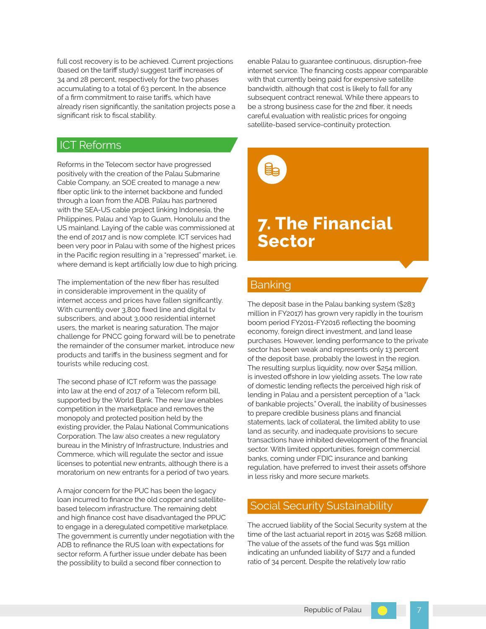full cost recovery is to be achieved. Current projections (based on the tariff study) suggest tariff increases of 34 and 28 percent, respectively for the two phases accumulating to a total of 63 percent. In the absence of a firm commitment to raise tariffs, which have already risen significantly, the sanitation projects pose a significant risk to fiscal stability.

enable Palau to guarantee continuous, disruption-free internet service. The financing costs appear comparable with that currently being paid for expensive satellite bandwidth, although that cost is likely to fall for any subsequent contract renewal. While there appears to be a strong business case for the 2nd fiber, it needs careful evaluation with realistic prices for ongoing satellite-based service-continuity protection.

#### ICT Reforms

Reforms in the Telecom sector have progressed positively with the creation of the Palau Submarine Cable Company, an SOE created to manage a new fiber optic link to the internet backbone and funded through a loan from the ADB. Palau has partnered with the SEA-US cable project linking Indonesia, the Philippines, Palau and Yap to Guam, Honolulu and the US mainland. Laying of the cable was commissioned at the end of 2017 and is now complete. ICT services had been very poor in Palau with some of the highest prices in the Pacific region resulting in a "repressed" market, i.e. where demand is kept artificially low due to high pricing.

The implementation of the new fiber has resulted in considerable improvement in the quality of internet access and prices have fallen significantly. With currently over 3,800 fixed line and digital tv subscribers, and about 3,000 residential internet users, the market is nearing saturation. The major challenge for PNCC going forward will be to penetrate the remainder of the consumer market, introduce new products and tariffs in the business segment and for tourists while reducing cost.

The second phase of ICT reform was the passage into law at the end of 2017 of a Telecom reform bill, supported by the World Bank. The new law enables competition in the marketplace and removes the monopoly and protected position held by the existing provider, the Palau National Communications Corporation. The law also creates a new regulatory bureau in the Ministry of Infrastructure, Industries and Commerce, which will regulate the sector and issue licenses to potential new entrants, although there is a moratorium on new entrants for a period of two years.

A major concern for the PUC has been the legacy loan incurred to finance the old copper and satellitebased telecom infrastructure. The remaining debt and high finance cost have disadvantaged the PPUC to engage in a deregulated competitive marketplace. The government is currently under negotiation with the ADB to refinance the RUS loan with expectations for sector reform. A further issue under debate has been the possibility to build a second fiber connection to



### **7. The Financial Sector**

### Banking

The deposit base in the Palau banking system (\$283 million in FY2017) has grown very rapidly in the tourism boom period FY2011-FY2016 reflecting the booming economy, foreign direct investment, and land lease purchases. However, lending performance to the private sector has been weak and represents only 13 percent of the deposit base, probably the lowest in the region. The resulting surplus liquidity, now over \$254 million, is invested offshore in low yielding assets. The low rate of domestic lending reflects the perceived high risk of lending in Palau and a persistent perception of a "lack of bankable projects." Overall, the inability of businesses to prepare credible business plans and financial statements, lack of collateral, the limited ability to use land as security, and inadequate provisions to secure transactions have inhibited development of the financial sector. With limited opportunities, foreign commercial banks, coming under FDIC insurance and banking regulation, have preferred to invest their assets offshore in less risky and more secure markets.

#### Social Security Sustainability

The accrued liability of the Social Security system at the time of the last actuarial report in 2015 was \$268 million. The value of the assets of the fund was \$91 million indicating an unfunded liability of \$177 and a funded ratio of 34 percent. Despite the relatively low ratio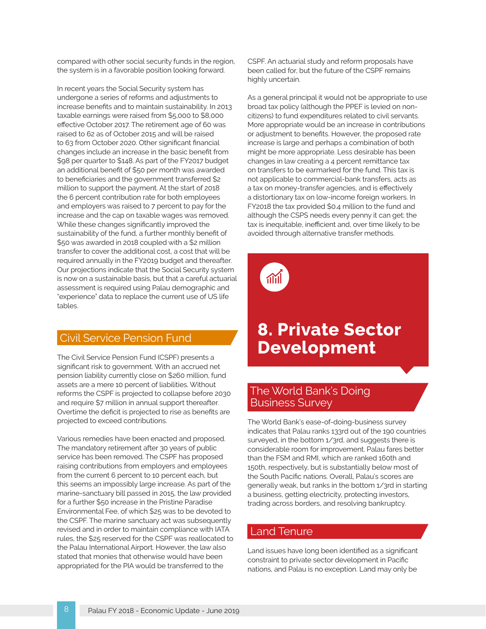compared with other social security funds in the region, the system is in a favorable position looking forward.

In recent years the Social Security system has undergone a series of reforms and adjustments to increase benefits and to maintain sustainability. In 2013 taxable earnings were raised from \$5,000 to \$8,000 effective October 2017. The retirement age of 60 was raised to 62 as of October 2015 and will be raised to 63 from October 2020. Other significant financial changes include an increase in the basic benefit from \$98 per quarter to \$148. As part of the FY2017 budget an additional benefit of \$50 per month was awarded to beneficiaries and the government transferred \$2 million to support the payment. At the start of 2018 the 6 percent contribution rate for both employees and employers was raised to 7 percent to pay for the increase and the cap on taxable wages was removed. While these changes significantly improved the sustainability of the fund, a further monthly benefit of \$50 was awarded in 2018 coupled with a \$2 million transfer to cover the additional cost, a cost that will be required annually in the FY2019 budget and thereafter. Our projections indicate that the Social Security system is now on a sustainable basis, but that a careful actuarial assessment is required using Palau demographic and "experience" data to replace the current use of US life tables.

### Civil Service Pension Fund

The Civil Service Pension Fund (CSPF) presents a significant risk to government. With an accrued net pension liability currently close on \$260 million, fund assets are a mere 10 percent of liabilities. Without reforms the CSPF is projected to collapse before 2030 and require \$7 million in annual support thereafter. Overtime the deficit is projected to rise as benefits are projected to exceed contributions.

Various remedies have been enacted and proposed. The mandatory retirement after 30 years of public service has been removed. The CSPF has proposed raising contributions from employers and employees from the current 6 percent to 10 percent each, but this seems an impossibly large increase. As part of the marine-sanctuary bill passed in 2015, the law provided for a further \$50 increase in the Pristine Paradise Environmental Fee, of which \$25 was to be devoted to the CSPF. The marine sanctuary act was subsequently revised and in order to maintain compliance with IATA rules, the \$25 reserved for the CSPF was reallocated to the Palau International Airport. However, the law also stated that monies that otherwise would have been appropriated for the PIA would be transferred to the

CSPF. An actuarial study and reform proposals have been called for, but the future of the CSPF remains highly uncertain.

As a general principal it would not be appropriate to use broad tax policy (although the PPEF is levied on noncitizens) to fund expenditures related to civil servants. More appropriate would be an increase in contributions or adjustment to benefits. However, the proposed rate increase is large and perhaps a combination of both might be more appropriate. Less desirable has been changes in law creating a 4 percent remittance tax on transfers to be earmarked for the fund. This tax is not applicable to commercial-bank transfers, acts as a tax on money-transfer agencies, and is effectively a distortionary tax on low-income foreign workers. In FY2018 the tax provided \$0.4 million to the fund and although the CSPS needs every penny it can get; the tax is inequitable, inefficient and, over time likely to be avoided through alternative transfer methods.



### **8. Private Sector Development**

### The World Bank's Doing Business Survey

The World Bank's ease-of-doing-business survey indicates that Palau ranks 133rd out of the 190 countries surveyed, in the bottom 1/3rd, and suggests there is considerable room for improvement. Palau fares better than the FSM and RMI, which are ranked 160th and 150th, respectively, but is substantially below most of the South Pacific nations. Overall, Palau's scores are generally weak, but ranks in the bottom 1/3rd in starting a business, getting electricity, protecting investors, trading across borders, and resolving bankruptcy.

#### Land Tenure

Land issues have long been identified as a significant constraint to private sector development in Pacific nations, and Palau is no exception. Land may only be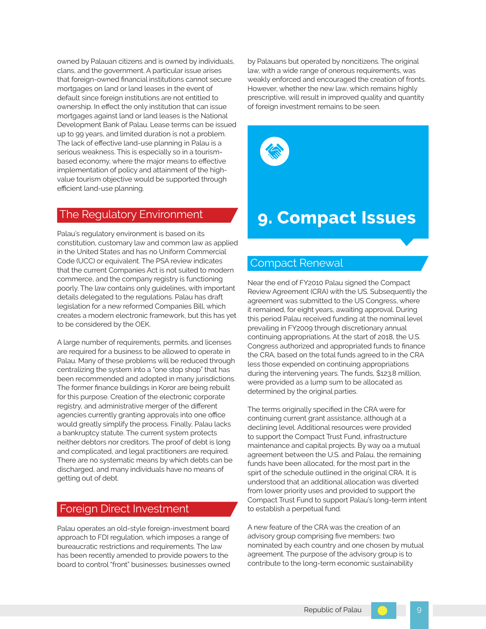owned by Palauan citizens and is owned by individuals, clans, and the government. A particular issue arises that foreign-owned financial institutions cannot secure mortgages on land or land leases in the event of default since foreign institutions are not entitled to ownership. In effect the only institution that can issue mortgages against land or land leases is the National Development Bank of Palau. Lease terms can be issued up to 99 years, and limited duration is not a problem. The lack of effective land-use planning in Palau is a serious weakness. This is especially so in a tourismbased economy, where the major means to effective implementation of policy and attainment of the highvalue tourism objective would be supported through efficient land-use planning.

#### The Regulatory Environment

Palau's regulatory environment is based on its constitution, customary law and common law as applied in the United States and has no Uniform Commercial Code (UCC) or equivalent. The PSA review indicates that the current Companies Act is not suited to modern commerce, and the company registry is functioning poorly. The law contains only guidelines, with important details delegated to the regulations. Palau has draft legislation for a new reformed Companies Bill, which creates a modern electronic framework, but this has yet to be considered by the OEK.

A large number of requirements, permits, and licenses are required for a business to be allowed to operate in Palau. Many of these problems will be reduced through centralizing the system into a "one stop shop" that has been recommended and adopted in many jurisdictions. The former finance buildings in Koror are being rebuilt for this purpose. Creation of the electronic corporate registry, and administrative merger of the different agencies currently granting approvals into one office would greatly simplify the process. Finally, Palau lacks a bankruptcy statute. The current system protects neither debtors nor creditors. The proof of debt is long and complicated, and legal practitioners are required. There are no systematic means by which debts can be discharged, and many individuals have no means of getting out of debt.

### Foreign Direct Investment

Palau operates an old-style foreign-investment board approach to FDI regulation, which imposes a range of bureaucratic restrictions and requirements. The law has been recently amended to provide powers to the board to control "front" businesses: businesses owned by Palauans but operated by noncitizens. The original law, with a wide range of onerous requirements, was weakly enforced and encouraged the creation of fronts. However, whether the new law, which remains highly prescriptive, will result in improved quality and quantity of foreign investment remains to be seen.



### **9. Compact Issues**

#### Compact Renewal

Near the end of FY2010 Palau signed the Compact Review Agreement (CRA) with the US. Subsequently the agreement was submitted to the US Congress, where it remained, for eight years, awaiting approval. During this period Palau received funding at the nominal level prevailing in FY2009 through discretionary annual continuing appropriations. At the start of 2018, the U.S. Congress authorized and appropriated funds to finance the CRA, based on the total funds agreed to in the CRA less those expended on continuing appropriations during the intervening years. The funds, \$123.8 million, were provided as a lump sum to be allocated as determined by the original parties.

 The terms originally specified in the CRA were for continuing current grant assistance, although at a declining level. Additional resources were provided to support the Compact Trust Fund, infrastructure maintenance and capital projects. By way oa a mutual agreement between the U.S. and Palau, the remaining funds have been allocated, for the most part in the spirt of the schedule outlined in the original CRA. It is understood that an additional allocation was diverted from lower priority uses and provided to support the Compact Trust Fund to support Palau's long-term intent to establish a perpetual fund.

A new feature of the CRA was the creation of an advisory group comprising five members: two nominated by each country and one chosen by mutual agreement. The purpose of the advisory group is to contribute to the long-term economic sustainability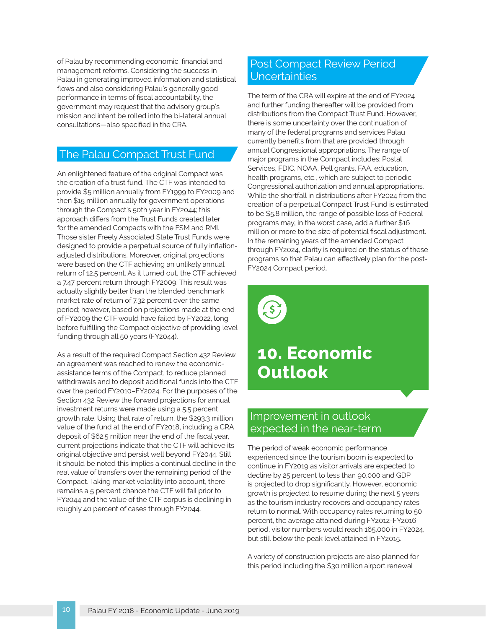of Palau by recommending economic, financial and **Post Compact Review Period** management reforms. Considering the success in Palau in generating improved information and statistical flows and also considering Palau's generally good performance in terms of fiscal accountability, the government may request that the advisory group's mission and intent be rolled into the bi-lateral annual consultations—also specified in the CRA.

### The Palau Compact Trust Fund

An enlightened feature of the original Compact was the creation of a trust fund. The CTF was intended to provide \$5 million annually from FY1999 to FY2009 and then \$15 million annually for government operations through the Compact's 50th year in FY2044; this approach differs from the Trust Funds created later for the amended Compacts with the FSM and RMI. Those sister Freely Associated State Trust Funds were designed to provide a perpetual source of fully inflationadjusted distributions. Moreover, original projections were based on the CTF achieving an unlikely annual return of 12.5 percent. As it turned out, the CTF achieved a 7.47 percent return through FY2009. This result was actually slightly better than the blended benchmark market rate of return of 7.32 percent over the same period; however, based on projections made at the end of FY2009 the CTF would have failed by FY2022, long before fulfilling the Compact objective of providing level funding through all 50 years (FY2044).

 deposit of \$62.5 million near the end of the fiscal year, As a result of the required Compact Section 432 Review, an agreement was reached to renew the economicassistance terms of the Compact, to reduce planned withdrawals and to deposit additional funds into the CTF over the period FY2010–FY2024. For the purposes of the Section 432 Review the forward projections for annual investment returns were made using a 5.5 percent growth rate. Using that rate of return, the \$293.3 million value of the fund at the end of FY2018, including a CRA current projections indicate that the CTF will achieve its original objective and persist well beyond FY2044. Still it should be noted this implies a continual decline in the real value of transfers over the remaining period of the Compact. Taking market volatility into account, there remains a 5 percent chance the CTF will fail prior to FY2044 and the value of the CTF corpus is declining in roughly 40 percent of cases through FY2044.

# **Uncertainties**

The term of the CRA will expire at the end of FY2024 and further funding thereafter will be provided from distributions from the Compact Trust Fund. However, there is some uncertainty over the continuation of many of the federal programs and services Palau currently benefits from that are provided through annual Congressional appropriations. The range of major programs in the Compact includes: Postal Services, FDIC, NOAA, Pell grants, FAA, education, health programs, etc., which are subject to periodic Congressional authorization and annual appropriations. While the shortfall in distributions after FY2024 from the creation of a perpetual Compact Trust Fund is estimated to be \$5.8 million, the range of possible loss of Federal programs may, in the worst case, add a further \$16 million or more to the size of potential fiscal adjustment. In the remaining years of the amended Compact through FY2024, clarity is required on the status of these programs so that Palau can effectively plan for the post-FY2024 Compact period.



### **10. Economic Outlook**

### Improvement in outlook expected in the near-term

The period of weak economic performance experienced since the tourism boom is expected to continue in FY2019 as visitor arrivals are expected to decline by 25 percent to less than 90,000 and GDP is projected to drop significantly. However, economic growth is projected to resume during the next 5 years as the tourism industry recovers and occupancy rates return to normal. With occupancy rates returning to 50 percent, the average attained during FY2012-FY2016 period, visitor numbers would reach 165,000 in FY2024, but still below the peak level attained in FY2015.

A variety of construction projects are also planned for this period including the \$30 million airport renewal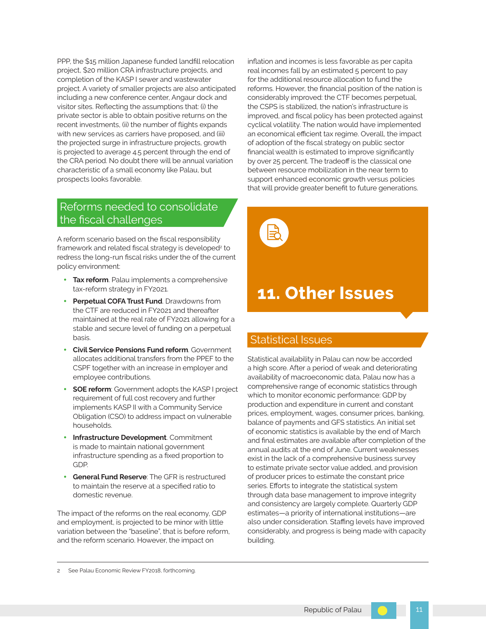the CRA period. No doubt there will be annual variation PPP, the \$15 million Japanese funded landfill relocation project, \$20 million CRA infrastructure projects, and completion of the KASP I sewer and wastewater project. A variety of smaller projects are also anticipated including a new conference center, Angaur dock and visitor sites. Reflecting the assumptions that: (i) the private sector is able to obtain positive returns on the recent investments, (ii) the number of flights expands with new services as carriers have proposed, and (iii) the projected surge in infrastructure projects, growth is projected to average 4.5 percent through the end of characteristic of a small economy like Palau, but prospects looks favorable.

### Reforms needed to consolidate the fiscal challenges

A reform scenario based on the fiscal responsibility framework and related fiscal strategy is developed<sup>2</sup> to redress the long-run fiscal risks under the of the current policy environment:

- **Tax reform**. Palau implements a comprehensive tax-reform strategy in FY2021.
- Perpetual COFA Trust Fund. Drawdowns from the CTF are reduced in FY2021 and thereafter maintained at the real rate of FY2021 allowing for a stable and secure level of funding on a perpetual basis.
- **Civil Service Pensions Fund reform**. Government allocates additional transfers from the PPEF to the CSPF together with an increase in employer and employee contributions.
- **SOE reform**: Government adopts the KASP I project requirement of full cost recovery and further implements KASP II with a Community Service Obligation (CSO) to address impact on vulnerable households.
- **Infrastructure Development**. Commitment is made to maintain national government infrastructure spending as a fixed proportion to GDP.
- **General Fund Reserve: The GFR is restructured** to maintain the reserve at a specified ratio to domestic revenue.

 and employment, is projected to be minor with little The impact of the reforms on the real economy, GDP variation between the "baseline", that is before reform, and the reform scenario. However, the impact on

inflation and incomes is less favorable as per capita real incomes fall by an estimated 5 percent to pay for the additional resource allocation to fund the reforms. However, the financial position of the nation is considerably improved: the CTF becomes perpetual, the CSPS is stabilized, the nation's infrastructure is improved, and fiscal policy has been protected against cyclical volatility. The nation would have implemented an economical efficient tax regime. Overall, the impact of adoption of the fiscal strategy on public sector financial wealth is estimated to improve significantly by over 25 percent. The tradeoff is the classical one between resource mobilization in the near term to support enhanced economic growth versus policies that will provide greater benefit to future generations.



### **11. Other Issues**

### Statistical Issues

Statistical availability in Palau can now be accorded a high score. After a period of weak and deteriorating availability of macroeconomic data, Palau now has a comprehensive range of economic statistics through which to monitor economic performance: GDP by production and expenditure in current and constant prices, employment, wages, consumer prices, banking, balance of payments and GFS statistics. An initial set of economic statistics is available by the end of March and final estimates are available after completion of the annual audits at the end of June. Current weaknesses exist in the lack of a comprehensive business survey to estimate private sector value added, and provision of producer prices to estimate the constant price series. Efforts to integrate the statistical system through data base management to improve integrity and consistency are largely complete. Quarterly GDP estimates—a priority of international institutions—are also under consideration. Staffing levels have improved considerably, and progress is being made with capacity building.

2 See Palau Economic Review FY2018, forthcoming.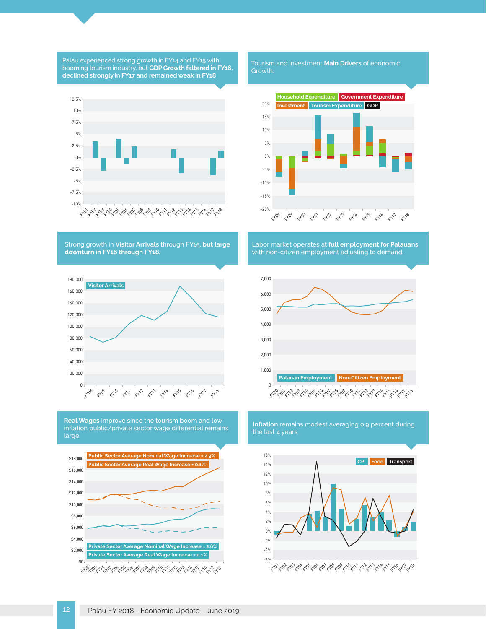12 Palau FY 2018 - Economic Update - June 2019





**Real Wages** improve since the tourism boom and low inflation public/private sector wage differential remains large.

FYDB FY09 FY10 FY11 FY12 FY13 FY14 FY15 FY16 FY17 FY18 0 0 **Visitor Arrivals**   $160,000$  6,000 140,000 120,000 4,000 100,000 80,000 3,000 60,000 40,000 1,000 20,000

Strong growth in **Visitor Arrivals** through FY15, **but large downturn in FY16 through FY18.** 



Palau experienced strong growth in FY14 and FY15 with booming tourism industry, but **GDP Growth faltered in FY16, declined strongly in FY17 and remained weak in FY18** 

Tourism and investment **Main Drivers** of economic Growth.



Labor market operates at **full employment for Palauans**  with non-citizen employment adjusting to demand.



**Inflation** remains modest averaging 0.9 percent during

the last 4 years.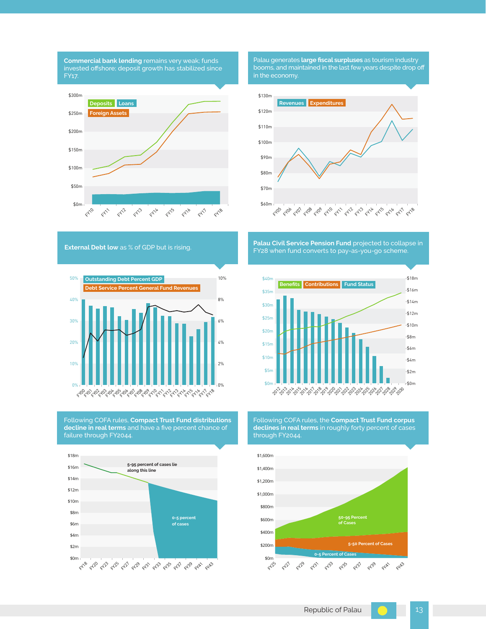





Following COFA rules, **Compact Trust Fund distributions decline in real terms** and have a five percent chance of failure through FY2044.



Palau generates **large fiscal surpluses** as tourism industry booms, and maintained in the last few years despite drop off in the economy.



**External Debt low** as % of GDP but is rising. **Palau Civil Service Pension Fund** projected to collapse in FY28 when fund converts to pay-as-you-go scheme.



Following COFA rules, the **Compact Trust Fund corpus declines in real terms** in roughly forty percent of cases through FY2044.

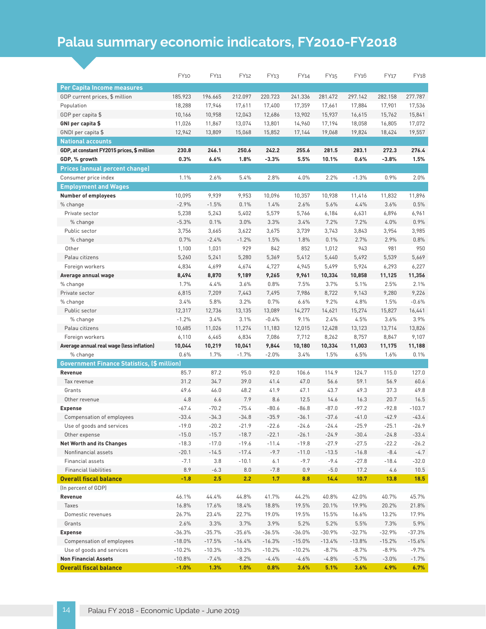### **Palau summary economic indicators, FY2010-FY2018**

|                                                    | <b>FY10</b> | FY11     | FY12     | FY <sub>13</sub> | FY14     | FY <sub>15</sub> | FY <sub>16</sub> | FY17     | FY18     |
|----------------------------------------------------|-------------|----------|----------|------------------|----------|------------------|------------------|----------|----------|
| Per Capita Income measures                         |             |          |          |                  |          |                  |                  |          |          |
| GDP current prices, \$ million                     | 185.923     | 196.665  | 212.097  | 220.723          | 241.336  | 281.472          | 297.142          | 282.158  | 277.787  |
| Population                                         | 18,288      | 17,946   | 17,611   | 17,400           | 17,359   | 17,661           | 17,884           | 17,901   | 17,536   |
| GDP per capita \$                                  | 10,166      | 10,958   | 12,043   | 12,686           | 13,902   | 15,937           | 16,615           | 15,762   | 15,841   |
| GNI per capita \$                                  | 11,026      | 11,867   | 13,074   | 13,801           | 14,960   | 17,194           | 18,058           | 16,805   | 17,072   |
| GNDI per capita \$                                 | 12,942      | 13,809   | 15,068   | 15,852           | 17,144   | 19,068           | 19,824           | 18,424   | 19,557   |
| <b>National accounts</b>                           |             |          |          |                  |          |                  |                  |          |          |
| GDP, at constant FY2015 prices, \$ million         | 230.8       | 246.1    | 250.6    | 242.2            | 255.6    | 281.5            | 283.1            | 272.3    | 276.4    |
| GDP, % growth                                      | 0.3%        | 6.6%     | 1.8%     | $-3.3%$          | 5.5%     | 10.1%            | 0.6%             | $-3.8%$  | 1.5%     |
| <b>Prices (annual percent change)</b>              |             |          |          |                  |          |                  |                  |          |          |
| Consumer price index                               | 1.1%        | 2.6%     | 5.4%     | 2.8%             | 4.0%     | 2.2%             | $-1.3%$          | 0.9%     | 2.0%     |
| <b>Employment and Wages</b>                        |             |          |          |                  |          |                  |                  |          |          |
| <b>Number of employees</b>                         | 10,095      | 9,939    | 9,953    | 10,096           | 10,357   | 10,938           | 11,416           | 11,832   | 11,896   |
| % change                                           | $-2.9%$     | $-1.5%$  | 0.1%     | 1.4%             | 2.6%     | 5.6%             | 4.4%             | 3.6%     | 0.5%     |
| Private sector                                     | 5,238       | 5,243    | 5,402    | 5,579            | 5,766    | 6,184            | 6,631            | 6,896    | 6,961    |
| % change                                           | $-5.3%$     | 0.1%     | 3.0%     | 3.3%             | 3.4%     | 7.2%             | 7.2%             | 4.0%     | 0.9%     |
| Public sector                                      | 3,756       | 3,665    | 3,622    | 3,675            | 3,739    | 3,743            | 3,843            | 3,954    | 3,985    |
| % change                                           | 0.7%        | $-2.4%$  | $-1.2%$  | 1.5%             | 1.8%     | 0.1%             | 2.7%             | 2.9%     | 0.8%     |
| Other                                              | 1,100       | 1,031    | 929      | 842              | 852      | 1,012            | 943              | 981      | 950      |
| Palau citizens                                     | 5,260       | 5,241    | 5,280    | 5,369            | 5,412    | 5,440            | 5,492            | 5,539    | 5,669    |
| Foreign workers                                    | 4,834       | 4,699    | 4,674    | 4,727            | 4,945    | 5,499            | 5,924            | 6,293    | 6,227    |
| Average annual wage                                | 8,494       | 8,870    | 9,189    | 9,265            | 9,961    | 10,334           | 10,858           | 11,125   | 11,356   |
| % change                                           | 1.7%        | 4.4%     | 3.6%     | 0.8%             | 7.5%     | 3.7%             | 5.1%             | 2.5%     | 2.1%     |
| Private sector                                     | 6,815       | 7,209    | 7,443    | 7,495            | 7,986    | 8,722            | 9,143            | 9,280    | 9,226    |
| % change                                           | 3.4%        | 5.8%     | 3.2%     | 0.7%             | 6.6%     | 9.2%             | 4.8%             | 1.5%     | $-0.6%$  |
| Public sector                                      | 12,317      | 12,736   | 13,135   | 13,089           | 14,277   | 14,621           | 15,274           | 15,827   | 16,441   |
| % change                                           | $-1.2%$     | 3.4%     | 3.1%     | $-0.4%$          | 9.1%     | 2.4%             | 4.5%             | 3.6%     | 3.9%     |
| Palau citizens                                     | 10,685      | 11,026   | 11,274   | 11,183           | 12,015   | 12,428           | 13,123           | 13,714   | 13,826   |
| Foreign workers                                    | 6,110       | 6,465    | 6,834    | 7,086            | 7,712    | 8,262            | 8,757            | 8,847    | 9,107    |
| Average annual real wage (less inflation)          | 10,044      | 10,219   | 10,041   | 9,844            | 10,180   | 10,334           | 11,003           | 11,175   | 11,188   |
| % change                                           | 0.6%        | 1.7%     | $-1.7%$  | $-2.0%$          | 3.4%     | 1.5%             | 6.5%             | 1.6%     | 0.1%     |
| <b>Government Finance Statistics, (\$ million)</b> |             |          |          |                  |          |                  |                  |          |          |
| Revenue                                            | 85.7        | 87.2     | 95.0     | 92.0             | 106.6    | 114.9            | 124.7            | 115.0    | 127.0    |
| Tax revenue                                        | 31.2        | 34.7     | 39.0     | 41.4             | 47.0     | 56.6             | 59.1             | 56.9     | 60.6     |
| Grants                                             | 49.6        | 46.0     | 48.2     | 41.9             | 47.1     | 43.7             | 49.3             | 37.3     | 49.8     |
| Other revenue                                      | 4.8         | 6.6      | 7.9      | 8.6              | 12.5     | 14.6             | 16.3             | 20.7     | 16.5     |
| <b>Expense</b>                                     | $-67.4$     | $-70.2$  | $-75.4$  | $-80.6$          | $-86.8$  | $-87.0$          | $-97.2$          | $-92.8$  | $-103.7$ |
| Compensation of employees                          | $-33.4$     | $-34.3$  | $-34.8$  | $-35.9$          | $-36.1$  | $-37.6$          | $-41.0$          | $-42.9$  | $-43.4$  |
| Use of goods and services                          | -19.0       | -20.2    | -21.9    | $-22.6$          | $-24.6$  | $-24.4$          | $-25.9$          | $-25.1$  | $-26.9$  |
| Other expense                                      | $-15.0$     | $-15.7$  | $-18.7$  | $-22.1$          | $-26.1$  | $-24.9$          | $-30.4$          | $-24.8$  | $-33.4$  |
| <b>Net Worth and its Changes</b>                   | $-18.3$     | $-17.0$  | $-19.6$  | $-11.4$          | $-19.8$  | $-27.9$          | $-27.5$          | $-22.2$  | $-26.2$  |
| Nonfinancial assets                                | $-20.1$     | $-14.5$  | $-17.4$  | $-9.7$           | $-11.0$  | $-13.5$          | $-16.8$          | $-8.4$   | $-4.7$   |
| Financial assets                                   | $-7.1$      | 3.8      | $-10.1$  | 6.1              | $-9.7$   | $-9.4$           | $-27.8$          | $-18.4$  | $-32.0$  |
| <b>Financial liabilities</b>                       | 8.9         | $-6.3$   | 8.0      | $-7.8$           | 0.9      | $-5.0$           | 17.2             | 4.6      | 10.5     |
| <b>Overall fiscal balance</b>                      | $-1.8$      | 2.5      | 2.2      | 1.7              | 8.8      | 14.4             | 10.7             | 13.8     | 18.5     |
| (In percent of GDP)                                |             |          |          |                  |          |                  |                  |          |          |
| Revenue                                            | 46.1%       | 44.4%    | 44.8%    | 41.7%            | 44.2%    | 40.8%            | 42.0%            | 40.7%    | 45.7%    |
| Taxes                                              | 16.8%       | 17.6%    | 18.4%    | 18.8%            | 19.5%    | 20.1%            | 19.9%            | 20.2%    | 21.8%    |
| Domestic revenues                                  | 26.7%       | 23.4%    | 22.7%    | 19.0%            | 19.5%    | 15.5%            | 16.6%            | 13.2%    | 17.9%    |
| Grants                                             | 2.6%        | 3.3%     | 3.7%     | 3.9%             | 5.2%     | 5.2%             | 5.5%             | 7.3%     | 5.9%     |
| <b>Expense</b>                                     | $-36.3%$    | $-35.7%$ | $-35.6%$ | $-36.5%$         | $-36.0%$ | $-30.9%$         | $-32.7%$         | $-32.9%$ | $-37.3%$ |
| Compensation of employees                          | $-18.0%$    | $-17.5%$ | $-16.4%$ | $-16.3%$         | $-15.0%$ | $-13.4%$         | $-13.8%$         | $-15.2%$ | $-15.6%$ |
| Use of goods and services                          | $-10.2%$    | $-10.3%$ | $-10.3%$ | $-10.2%$         | $-10.2%$ | $-8.7%$          | $-8.7%$          | $-8.9%$  | $-9.7\%$ |
| <b>Non Financial Assets</b>                        | $-10.8%$    | $-7.4%$  | $-8.2%$  | $-4.4%$          | $-4.6%$  | $-4.8%$          | $-5.7%$          | $-3.0%$  | $-1.7%$  |
| <b>Overall fiscal balance</b>                      | $-1.0%$     | 1.3%     | 1.0%     | 0.8%             | 3.6%     | 5.1%             | 3.6%             | 4.9%     | 6.7%     |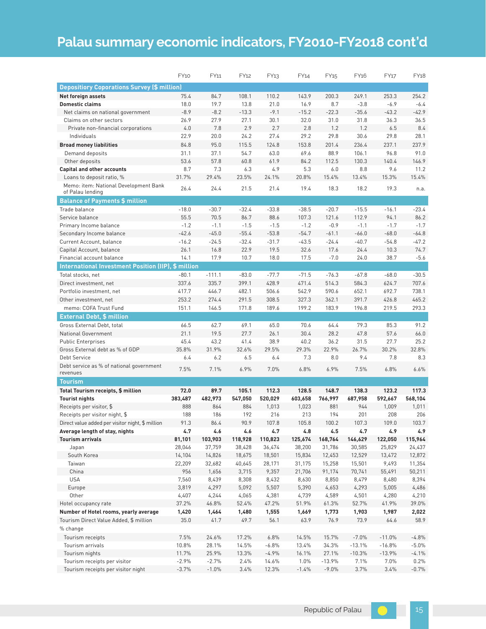### **Palau summary economic indicators, FY2010-FY2018 cont'd**

|                                                           | <b>FY10</b>      | FY11             | FY12             | FY <sub>13</sub> | FY14             | FY <sub>15</sub> | FY <sub>16</sub> | FY17             | FY18             |
|-----------------------------------------------------------|------------------|------------------|------------------|------------------|------------------|------------------|------------------|------------------|------------------|
| <b>Depositiory Coporations Survey (\$ million)</b>        |                  |                  |                  |                  |                  |                  |                  |                  |                  |
| Net foreign assets                                        | 75.4             | 84.7             | 108.1            | 110.2            | 143.9            | 200.3            | 249.1            | 253.3            | 254.2            |
| <b>Domestic claims</b>                                    | 18.0             | 19.7             | 13.8             | 21.0             | 16.9             | 8.7              | $-3.8$           | $-6.9$           | $-6.4$           |
| Net claims on national government                         | $-8.9$           | $-8.2$           | $-13.3$          | $-9.1$           | $-15.2$          | $-22.3$          | $-35.6$          | $-43.2$          | $-42.9$          |
| Claims on other sectors                                   | 26.9             | 27.9             | 27.1             | 30.1             | 32.0             | 31.0             | 31.8             | 36.3             | 36.5             |
| Private non-financial corporations                        | 4.0              | 7.8              | 2.9              | 2.7              | 2.8              | 1.2              | 1.2              | 6.5              | 8.4              |
| Individuals                                               | 22.9             | 20.0             | 24.2             | 27.4             | 29.2             | 29.8             | 30.6             | 29.8             | 28.1             |
| <b>Broad money liabilities</b>                            | 84.8             | 95.0             | 115.5            | 124.8            | 153.8            | 201.4            | 236.4            | 237.1            | 237.9            |
| Demand deposits                                           | 31.1             | 37.1             | 54.7             | 63.0             | 69.6             | 88.9             | 106.1            | 96.8             | 91.0             |
| Other deposits                                            | 53.6             | 57.8             | 60.8             | 61.9             | 84.2             | 112.5            | 130.3            | 140.4            | 146.9            |
| <b>Capital and other accounts</b>                         | 8.7              | 7.3              | 6.3              | 4.9              | 5.3              | 6.0              | 8.8              | 9.6              | 11.2             |
| Loans to deposit ratio, %                                 | 31.7%            | 29.4%            | 23.5%            | 24.1%            | 20.8%            | 15.4%            | 13.4%            | 15.3%            | 15.4%            |
| Memo: item: National Development Bank<br>of Palau lending | 26.4             | 24.4             | 21.5             | 21.4             | 19.4             | 18.3             | 18.2             | 19.3             | n.a.             |
| <b>Balance of Payments \$ million</b>                     |                  |                  |                  |                  |                  |                  |                  |                  |                  |
| Trade balance                                             | $-18.0$          | $-30.7$          | $-32.4$          | $-33.8$          | $-38.5$          | $-20.7$          | $-15.5$          | $-16.1$          | $-23.4$          |
| Service balance                                           | 55.5             | 70.5             | 86.7             | 88.6             | 107.3            | 121.6            | 112.9            | 94.1             | 86.2             |
| Primary Income balance                                    | $-1.2$           | $-1.1$           | $-1.5$           | $-1.5$           | $-1.2$           | $-0.9$           | $-1.1$           | $-1.7$           | $-1.7$           |
| Secondary Income balance                                  | $-42.6$          | $-45.0$          | $-55.4$          | $-53.8$          | $-54.7$          | $-61.1$          | $-66.0$          | $-68.0$          | $-64.8$          |
| Current Account, balance                                  | $-16.2$          | $-24.5$          | $-32.4$          | $-31.7$          | $-43.5$          | $-24.4$          | $-40.7$          | $-54.8$          | $-47.2$          |
| Capital Account, balance                                  | 26.1             | 16.8             | 22.9             | 19.5             | 32.6             | 17.6             | 24.4             | 10.3             | 74.7             |
| Financial account balance                                 | 14.1             | 17.9             | 10.7             | 18.0             | 17.5             | $-7.0$           | 24.0             | 38.7             | $-5.6$           |
| International Investment Position (IIP), \$ million       |                  |                  |                  |                  |                  |                  |                  |                  |                  |
| Total stocks, net                                         | $-80.1$          | $-111.1$         | $-83.0$          | $-77.7$          | $-71.5$          | $-76.3$          | $-67.8$          | $-68.0$          | $-30.5$          |
| Direct investment, net                                    | 337.6            | 335.7            | 399.1            | 428.9            | 471.4            | 514.3            | 584.3            | 624.7            | 707.6            |
| Portfolio investment, net                                 | 417.7            | 446.7            | 482.1            | 506.6            | 542.9            | 590.6            | 652.1            | 692.7            | 738.1            |
| Other investment, net                                     | 253.2            | 274.4            | 291.5            | 308.5            | 327.3            | 362.1            | 391.7            | 426.8            | 465.2            |
| memo: COFA Trust Fund                                     | 151.1            | 146.5            | 171.8            | 189.6            | 199.2            | 183.9            | 196.8            | 219.5            | 293.3            |
| <b>External Debt, \$ million</b>                          |                  |                  |                  |                  |                  |                  |                  |                  |                  |
| Gross External Debt, total                                | 66.5             | 62.7             | 69.1             | 65.0             | 70.6             | 64.4             | 79.3             | 85.3             | 91.2             |
| National Government                                       | 21.1             | 19.5             | 27.7             | 26.1             | 30.4             | 28.2             | 47.8             | 57.6             | 66.0             |
| <b>Public Enterprises</b>                                 | 45.4             | 43.2             | 41.4             | 38.9             | 40.2             | 36.2             | 31.5             | 27.7             | 25.2             |
| Gross External debt as % of GDP                           | 35.8%            | 31.9%            | 32.6%            | 29.5%            | 29.3%            | 22.9%            | 26.7%            | 30.2%            | 32.8%            |
| Debt Service                                              | 6.4              | 6.2              | 6.5              | 6.4              | 7.3              | 8.0              | 9.4              | 7.8              | 8.3              |
| Debt service as % of national government<br>revenues      | 7.5%             | 7.1%             | 6.9%             | 7.0%             | 6.8%             | 6.9%             | 7.5%             | 6.8%             | 6.6%             |
| <b>Tourism</b>                                            |                  |                  |                  |                  |                  |                  |                  |                  |                  |
| Total Tourism receipts, \$ million                        | 72.0             | 89.7             | 105.1            | 112.3            | 128.5            | 148.7            | 138.3            | 123.2            | 117.3            |
| <b>Tourist nights</b>                                     | 383,487          | 482,973          | 547,050          | 520,029          | 603,658          | 766,997          | 687,958          | 592,667          | 568,104          |
| Receipts per visitor, \$                                  | 888              | 864              | 884              | 1,013            | 1,023            | 881              | 944              | 1,009            | 1,011            |
| Receipts per visitor night, \$                            | 188              | 186              | 192              | 216              | 213              | 194              | 201              | 208              | 206              |
| Direct value added per visitor night, \$ million          | 91.3             | 86.4             | 90.9             | 107.8            | 105.8            | 100.2            | 107.3            | 109.0            | 103.7            |
| Average length of stay, nights                            | 4.7              | 4.6              | $\bf 4.6$        | 4.7              | $\pmb{4.8}$      | 4.5              | 4.7              | 4.9              | 4.9              |
| <b>Tourism arrivals</b>                                   | 81,101           | 103,903          | 118,928          | 110,823          | 125,674          | 168,764          | 146,629          | 122,050          | 115,964          |
| Japan<br>South Korea                                      | 28,046<br>14,104 | 37,759<br>14,826 | 38,428<br>18,675 | 36,474           | 38,200<br>15,834 | 31,786<br>12,453 | 30,585<br>12,529 | 25,829<br>13,472 | 24,437<br>12,872 |
| Taiwan                                                    | 22,209           | 32,682           | 40,645           | 18,501<br>28,171 | 31,175           | 15,258           | 15,501           | 9,493            | 11,354           |
| China                                                     | 956              | 1,656            | 3,715            | 9,357            | 21,706           | 91,174           | 70,741           | 55,491           | 50,211           |
| <b>USA</b>                                                | 7,560            | 8,439            | 8,308            | 8,432            | 8,630            | 8,850            | 8,479            | 8,480            | 8,394            |
| Europe                                                    | 3,819            | 4,297            | 5,092            | 5,507            | 5,390            | 4,653            | 4,293            | 5,005            | 4,486            |
| Other                                                     | 4,407            | 4,244            | 4,065            | 4,381            | 4,739            | 4,589            | 4,501            | 4,280            | 4,210            |
| Hotel occupancy rate                                      | 37.2%            | 46.8%            | 52.4%            | 47.2%            | 51.9%            | 61.3%            | 52.7%            | 41.9%            | 39.0%            |
| Number of Hotel rooms, yearly average                     | 1,420            | 1,464            | 1,480            | 1,555            | 1,669            | 1,773            | 1,903            | 1,987            | 2,022            |
| Tourism Direct Value Added, \$ million                    | 35.0             | 41.7             | 49.7             | 56.1             | 63.9             | 76.9             | 73.9             | 64.6             | 58.9             |
| % change                                                  |                  |                  |                  |                  |                  |                  |                  |                  |                  |
| Tourism receipts                                          | 7.5%             | 24.6%            | 17.2%            | 6.8%             | 14.5%            | 15.7%            | $-7.0%$          | $-11.0%$         | $-4.8%$          |
| Tourism arrivals                                          | 10.8%            | 28.1%            | 14.5%            | $-6.8%$          | 13.4%            | 34.3%            | $-13.1%$         | $-16.8%$         | $-5.0%$          |
| Tourism nights                                            | 11.7%            | 25.9%            | 13.3%            | $-4.9%$          | 16.1%            | 27.1%            | $-10.3%$         | $-13.9%$         | $-4.1%$          |
| Tourism receipts per visitor                              | $-2.9%$          | $-2.7%$          | 2.4%             | 14.6%            | 1.0%             | $-13.9%$         | 7.1%             | 7.0%             | 0.2%             |
| Tourism receipts per visitor night                        | $-3.7%$          | $-1.0%$          | 3.4%             | 12.3%            | $-1.4%$          | $-9.0%$          | 3.7%             | 3.4%             | $-0.7%$          |
|                                                           |                  |                  |                  |                  |                  |                  |                  |                  |                  |